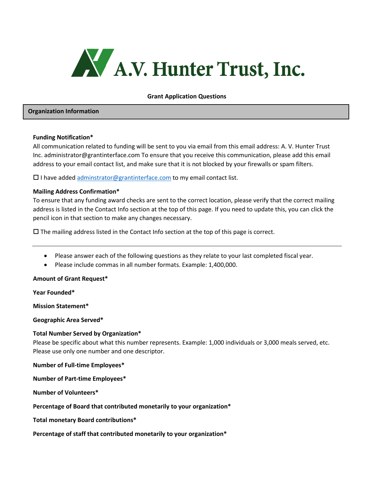

#### **Grant Application Questions**

#### **Organization Information**

#### **Funding Notification\***

All communication related to funding will be sent to you via email from this email address: A. V. Hunter Trust Inc. administrator@grantinterface.com To ensure that you receive this communication, please add this email address to your email contact list, and make sure that it is not blocked by your firewalls or spam filters.

 $\square$  I have added [adminstrator@grantinterface.com](mailto:adminstrator@grantinterface.com) to my email contact list.

### **Mailing Address Confirmation\***

To ensure that any funding award checks are sent to the correct location, please verify that the correct mailing address is listed in the Contact Info section at the top of this page. If you need to update this, you can click the pencil icon in that section to make any changes necessary.

 $\square$  The mailing address listed in the Contact Info section at the top of this page is correct.

- Please answer each of the following questions as they relate to your last completed fiscal year.
- Please include commas in all number formats. Example: 1,400,000.

#### **Amount of Grant Request\***

**Year Founded\***

**Mission Statement\***

**Geographic Area Served\***

#### **Total Number Served by Organization\***

Please be specific about what this number represents. Example: 1,000 individuals or 3,000 meals served, etc. Please use only one number and one descriptor.

#### **Number of Full-time Employees\***

**Number of Part-time Employees\***

**Number of Volunteers\***

**Percentage of Board that contributed monetarily to your organization\***

**Total monetary Board contributions\***

**Percentage of staff that contributed monetarily to your organization\***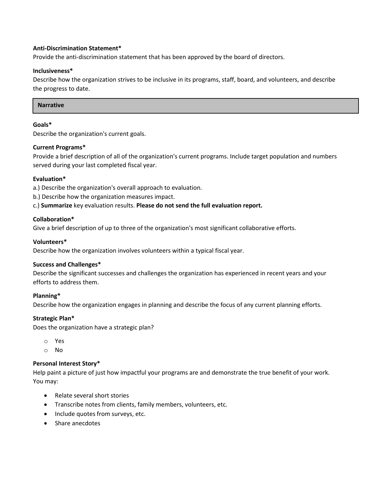## **Anti-Discrimination Statement\***

Provide the anti-discrimination statement that has been approved by the board of directors.

### **Inclusiveness\***

Describe how the organization strives to be inclusive in its programs, staff, board, and volunteers, and describe the progress to date.

#### **Narrative**

## **Goals\***

Describe the organization's current goals.

# **Current Programs\***

Provide a brief description of all of the organization's current programs. Include target population and numbers served during your last completed fiscal year.

### **Evaluation\***

- a.) Describe the organization's overall approach to evaluation.
- b.) Describe how the organization measures impact.
- c.) **Summarize** key evaluation results. **Please do not send the full evaluation report.**

# **Collaboration\***

Give a brief description of up to three of the organization's most significant collaborative efforts.

# **Volunteers\***

Describe how the organization involves volunteers within a typical fiscal year.

### **Success and Challenges\***

Describe the significant successes and challenges the organization has experienced in recent years and your efforts to address them.

### **Planning\***

Describe how the organization engages in planning and describe the focus of any current planning efforts.

### **Strategic Plan\***

Does the organization have a strategic plan?

- o Yes
- o No

## **Personal Interest Story\***

Help paint a picture of just how impactful your programs are and demonstrate the true benefit of your work. You may:

- Relate several short stories
- Transcribe notes from clients, family members, volunteers, etc.
- Include quotes from surveys, etc.
- Share anecdotes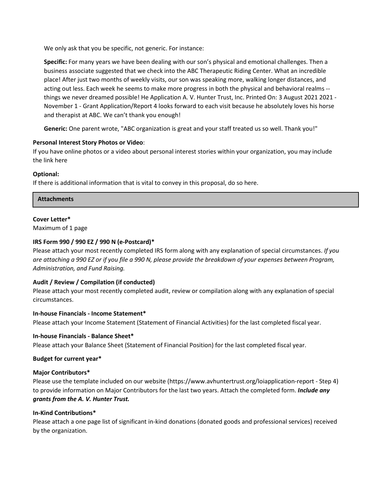We only ask that you be specific, not generic. For instance:

**Specific:** For many years we have been dealing with our son's physical and emotional challenges. Then a business associate suggested that we check into the ABC Therapeutic Riding Center. What an incredible place! After just two months of weekly visits, our son was speaking more, walking longer distances, and acting out less. Each week he seems to make more progress in both the physical and behavioral realms - things we never dreamed possible! He Application A. V. Hunter Trust, Inc. Printed On: 3 August 2021 2021 - November 1 - Grant Application/Report 4 looks forward to each visit because he absolutely loves his horse and therapist at ABC. We can't thank you enough!

**Generic:** One parent wrote, "ABC organization is great and your staff treated us so well. Thank you!"

# **Personal Interest Story Photos or Video**:

If you have online photos or a video about personal interest stories within your organization, you may include the link here

# **Optional:**

If there is additional information that is vital to convey in this proposal, do so here.

### **Attachments**

### **Cover Letter\***

Maximum of 1 page

# **IRS Form 990 / 990 EZ / 990 N (e-Postcard)\***

Please attach your most recently completed IRS form along with any explanation of special circumstances. *If you are attaching a 990 EZ or if you file a 990 N, please provide the breakdown of your expenses between Program, Administration, and Fund Raising.*

### **Audit / Review / Compilation (if conducted)**

Please attach your most recently completed audit, review or compilation along with any explanation of special circumstances.

### **In-house Financials - Income Statement\***

Please attach your Income Statement (Statement of Financial Activities) for the last completed fiscal year.

### **In-house Financials - Balance Sheet\***

Please attach your Balance Sheet (Statement of Financial Position) for the last completed fiscal year.

### **Budget for current year\***

### **Major Contributors\***

Please use the template included on our website (https://www.avhuntertrust.org/loiapplication-report - Step 4) to provide information on Major Contributors for the last two years. Attach the completed form. *Include any grants from the A. V. Hunter Trust.*

### **In-Kind Contributions\***

Please attach a one page list of significant in-kind donations (donated goods and professional services) received by the organization.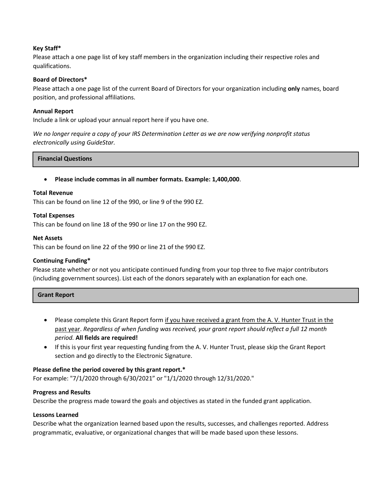## **Key Staff\***

Please attach a one page list of key staff members in the organization including their respective roles and qualifications.

## **Board of Directors\***

Please attach a one page list of the current Board of Directors for your organization including **only** names, board position, and professional affiliations.

## **Annual Report**

Include a link or upload your annual report here if you have one.

*We no longer require a copy of your IRS Determination Letter as we are now verifying nonprofit status electronically using GuideStar.*

#### **Financial Questions**

• **Please include commas in all number formats. Example: 1,400,000**.

#### **Total Revenue**

This can be found on line 12 of the 990, or line 9 of the 990 EZ.

### **Total Expenses**

This can be found on line 18 of the 990 or line 17 on the 990 EZ.

#### **Net Assets**

This can be found on line 22 of the 990 or line 21 of the 990 EZ.

### **Continuing Funding\***

Please state whether or not you anticipate continued funding from your top three to five major contributors (including government sources). List each of the donors separately with an explanation for each one.

| <b>Grant Report</b> |
|---------------------|
|---------------------|

- Please complete this Grant Report form if you have received a grant from the A. V. Hunter Trust in the past year. *Regardless of when funding was received, your grant report should reflect a full 12 month period.* **All fields are required!**
- If this is your first year requesting funding from the A. V. Hunter Trust, please skip the Grant Report section and go directly to the Electronic Signature.

### **Please define the period covered by this grant report.\***

For example: "7/1/2020 through 6/30/2021" or "1/1/2020 through 12/31/2020."

### **Progress and Results**

Describe the progress made toward the goals and objectives as stated in the funded grant application.

### **Lessons Learned**

Describe what the organization learned based upon the results, successes, and challenges reported. Address programmatic, evaluative, or organizational changes that will be made based upon these lessons.